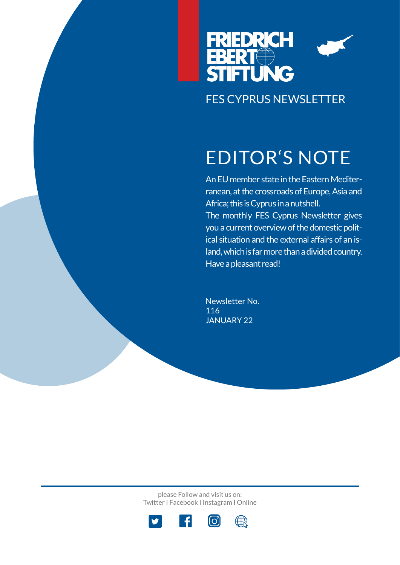

# EDITOR'S NOTE

An EU member state in the Eastern Mediterranean, at the crossroads of Europe, Asia and Africa; this is Cyprus in a nutshell. The monthly FES Cyprus Newsletter gives you a current overview of the domestic political situation and the external affairs of an island, which is far more than a divided country. Have a pleasant read!

Newsletter No. 116 JANUARY 22

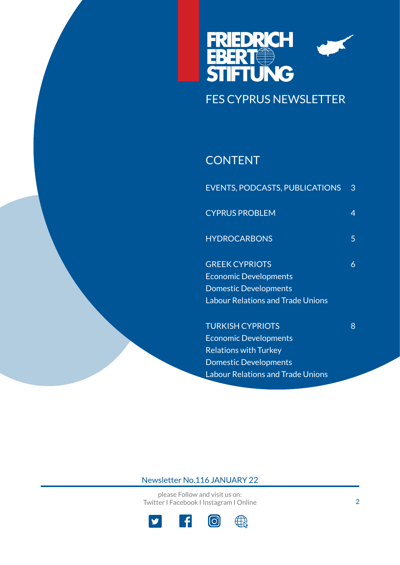

### **CONTENT**

| <b>EVENTS, PODCASTS, PUBLICATIONS</b>    | 3 |
|------------------------------------------|---|
| <b>CYPRUS PROBLEM</b>                    | 4 |
| <b>HYDROCARBONS</b>                      | 5 |
| <b>GREEK CYPRIOTS</b>                    | 6 |
| <b>Economic Developments</b>             |   |
| <b>Domestic Developments</b>             |   |
| <b>Labour Relations and Trade Unions</b> |   |
| <b>TURKISH CYPRIOTS</b>                  | 8 |
| <b>Economic Developments</b>             |   |
| <b>Relations with Turkey</b>             |   |
| <b>Domestic Developments</b>             |   |

Labour Relations and Trade Unions

### Newsletter No.116 JANUARY 22

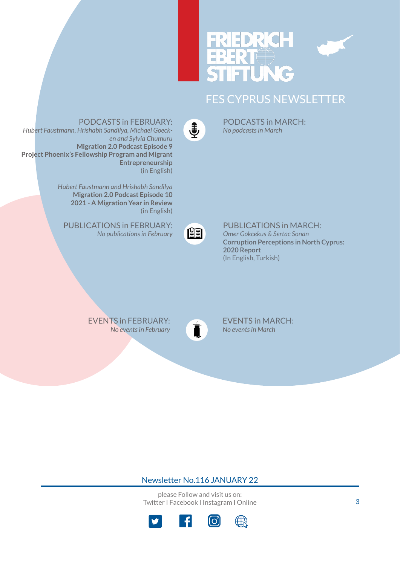

PODCASTS in MARCH: *No podcasts in March*



PODCASTS in FEBRUARY:

*Hubert Faustmann, Hrishabh Sandilya, Michael Goecken and Sylvia Chumuru* **Migration 2.0 Podcast Episode 9 Project Phoenix's Fellowship Program and Migrant Entrepreneurship** (in English)

> *Hubert Faustmann and Hrishabh Sandilya* **Migration 2.0 Podcast Episode 10 2021 - A Migration Year in Review**  (in English)

PUBLICATIONS in FEBRUARY[:](https://www.fescyprus.org/publications/) *No publications in February*



PUBLICATIONS in MARCH: *Omer Gokcekus & Sertac Sonan*  **Corruption Perceptions in North Cyprus: 2020 Report** (In English, Turkish)

EVENTS in FEBRUARY[:](https://www.fescyprus.org/events/) *No events in February*



EVENTS in MARCH: *No events in March*

#### Newsletter No.116 JANUARY 22

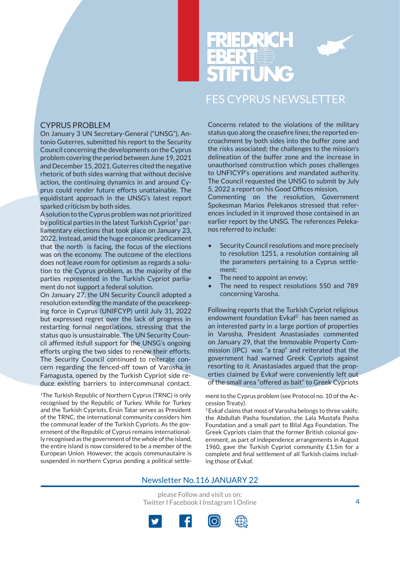



#### CYPRUS PROBLEM

On January 3 UN Secretary-General ("UNSG"), Antonio Guterres, submitted his report to the Security Council concerning the developments on the Cyprus problem covering the period between June 19, 2021 and December 15, 2021. Guterres cited the negative rhetoric of both sides warning that without decisive action, the continuing dynamics in and around Cyprus could render future efforts unattainable. The equidistant approach in the UNSG's latest report sparked criticism by both sides.

A solution to the Cyprus problem was not prioritized by political parties in the latest Turkish Cypriot $^1$  parliamentary elections that took place on January 23, 2022. Instead, amid the huge economic predicament that the north is facing, the focus of the elections was on the economy. The outcome of the elections does not leave room for optimism as regards a solution to the Cyprus problem, as the majority of the parties represented in the Turkish Cypriot parliament do not support a federal solution.

On January 27, the UN Security Council adopted a resolution extending the mandate of the peacekeeping force in Cyprus (UNIFCYP) until July 31, 2022 but expressed regret over the lack of progress in restarting formal negotiations, stressing that the status quo is unsustainable. The UN Security Council affirmed itsfull support for the UNSG's ongoing efforts urging the two sides to renew their efforts. The Security Council continued to reiterate concern regarding the fenced-off town of Varosha in Famagusta, opened by the Turkish Cypriot side reduce existing barriers to intercommunal contact.

<sup>1</sup>The Turkish Republic of Northern Cyprus (TRNC) is only recognised by the Republic of Turkey. While for Turkey and the Turkish Cypriots, Ersin Tatar serves as President of the TRNC, the international community considers him the communal leader of the Turkish Cypriots. As the government of the Republic of Cyprus remains internationally recognised as the government of the whole of the island, the entire island is now considered to be a member of the European Union. However, the acquis communautaire is suspended in northern Cyprus pending a political settleConcerns related to the violations of the military status quo along the ceasefire lines; the reported encroachment by both sides into the buffer zone and the risks associated; the challenges to the mission's delineation of the buffer zone and the increase in unauthorised construction which poses challenges to UNFICYP's operations and mandated authority. The Council requested the UNSG to submit by July 5, 2022 a report on his Good Offices mission,

Commenting on the resolution, Government Spokesman Marios Pelekanos stressed that references included in it improved those contained in an earlier report by the UNSG. The references Pelekanos referred to include:

- Security Council resolutions and more precisely to resolution 1251, a resolution containing all the parameters pertaining to a Cyprus settlement;
- The need to appoint an envoy;
- The need to respect resolutions 550 and 789 concerning Varosha.

Following reports that the Turkish Cypriot religious endowment foundation Evkaf<sup>2</sup> has been named as an interested party in a large portion of properties in Varosha, President Anastasiades commented on January 29, that the Immovable Property Commission (IPC) was "a trap" and reiterated that the government had warned Greek Cypriots against resorting to it. Anastasiades argued that the properties claimed by Evkaf were conveniently left out of the small area "offered as bait" to Greek Cypriots

ment to the Cyprus problem (see Protocol no. 10 of the Accession Treaty).

2 Evkaf claims that most of Varosha belongs to three vakifs: the Abdullah Pasha foundation, the Lala Mustafa Pasha Foundation and a small part to Bilal Aga Foundation. The Greek Cypriots claim that the former British colonial government, as part of independence arrangements in August 1960, gave the Turkish Cypriot community £1.5m for a complete and final settlement of all Turkish claims including those of Evkaf.

#### Newsletter No.116 JANUARY 22

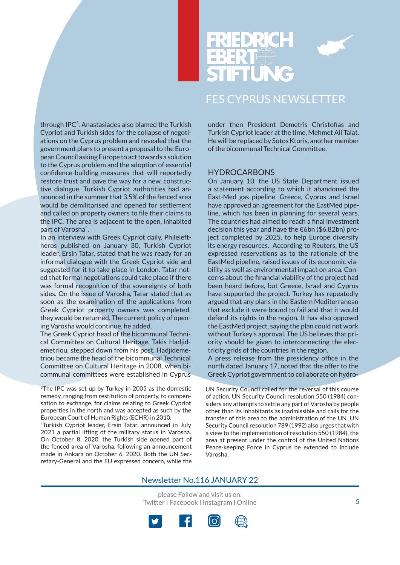



through IPC<sup>3</sup>. Anastasiades also blamed the Turkish Cypriot and Turkish sides for the collapse of negotiations on the Cyprus problem and revealed that the government plans to present a proposal to the European Council asking Europe to act towards a solution to the Cyprus problem and the adoption of essential confidence-building measures that will reportedly restore trust and pave the way for a new, constructive dialogue. Turkish Cypriot authorities had announced in the summer that 3.5% of the fenced area would be demilitarised and opened for settlement and called on property owners to file their claims to the IPC. The area is adjacent to the open, inhabited part of Varosha<sup>4</sup>.

In an interview with Greek Cypriot daily, Phileleftheros published on January 30, Turkish Cypriot leader, Ersin Tatar, stated that he was ready for an informal dialogue with the Greek Cypriot side and suggested for it to take place in London. Tatar noted that formal negotiations could take place if there was formal recognition of the sovereignty of both sides. On the issue of Varosha, Tatar stated that as soon as the examination of the applications from Greek Cypriot property owners was completed, they would be returned. The current policy of opening Varosha would continue, he added.

The Greek Cypriot head of the bicommunal Technical Committee on Cultural Heritage, Takis Hadjidemetriou, stepped down from his post. Hadjidemetriou became the head of the bicommunal Technical Committee on Cultural Heritage in 2008, when bicommunal committees were established in Cyprus

<sup>3</sup>The IPC was set up by Turkey in 2005 as the domestic remedy, ranging from restitution of property, to compensation to exchange, for claims relating to Greek Cypriot properties in the north and was accepted as such by the European Court of Human Rights (ECHR) in 2010.

4Turkish Cypriot leader, Ersin Tatar, announced in July 2021 a partial lifting of the military status in Varosha. On October 8, 2020, the Turkish side opened part of the fenced area of Varosha, following an announcement made in Ankara on October 6, 2020. Both the UN Secretary-General and the EU expressed concern, while the under then President Demetris Christofias and Turkish Cypriot leader at the time, Mehmet Ali Talat. He will be replaced by Sotos Ktoris, another member of the bicommunal Technical Committee.

#### **HYDROCARBONS**

On January 10, the US State Department issued a statement according to which it abandoned the East-Med gas pipeline. Greece, Cyprus and Israel have approved an agreement for the EastMed pipeline, which has been in planning for several years. The countries had aimed to reach a final investment decision this year and have the €6bn (\$6.82bn) project completed by 2025, to help Europe diversify its energy resources. According to Reuters, the US expressed reservations as to the rationale of the EastMed pipeline, raised issues of its economic viability as well as environmental impact on area. Concerns about the financial viability of the project had been heard before, but Greece, Israel and Cyprus have supported the project. Turkey has repeatedly argued that any plans in the Eastern Mediterranean that exclude it were bound to fail and that it would defend its rights in the region. It has also opposed the EastMed project, saying the plan could not work without Turkey's approval. The US believes that priority should be given to interconnecting the electricity grids of the countries in the region.

A press release from the presidency office in the north dated January 17, noted that the offer to the Greek Cypriot government to collaborate on hydro-

UN Security Council called for the reversal of this course of action. UN Security Council resolution 550 (1984) considers any attempts to settle any part of Varosha by people other than its inhabitants as inadmissible and calls for the transfer of this area to the administration of the UN. UN Security Council resolution 789 (1992) also urges that with a view to the implementation of resolution 550 (1984), the area at present under the control of the United Nations Peace-keeping Force in Cyprus be extended to include Varosha.

#### Newsletter No.116 JANUARY 22

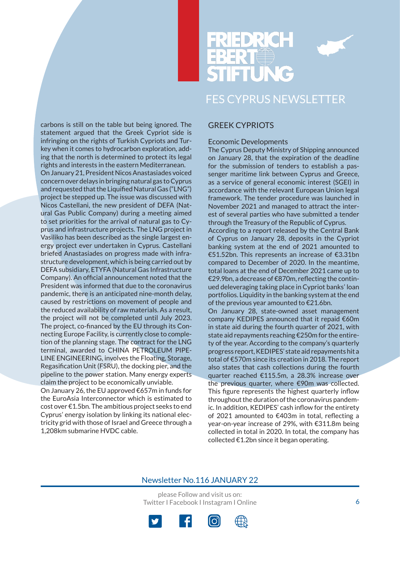

carbons is still on the table but being ignored. The statement argued that the Greek Cypriot side is infringing on the rights of Turkish Cypriots and Turkey when it comes to hydrocarbon exploration, adding that the north is determined to protect its legal rights and interests in the eastern Mediterranean. On January 21, President Nicos Anastasiades voiced concern over delays in bringing natural gas to Cyprus and requested that the Liquified Natural Gas ("LNG") project be stepped up. The issue was discussed with Nicos Castellani, the new president of DEFA (Natural Gas Public Company) during a meeting aimed to set priorities for the arrival of natural gas to Cyprus and infrastructure projects. The LNG project in Vasiliko has been described as the single largest energy project ever undertaken in Cyprus. Castellani briefed Anastasiades on progress made with infrastructure development, which is being carried out by DEFA subsidiary, ETYFA (Natural Gas Infrastructure Company). An official announcement noted that the President was informed that due to the coronavirus pandemic, there is an anticipated nine-month delay, caused by restrictions on movement of people and the reduced availability of raw materials. As a result, the project will not be completed until July 2023. The project, co-financed by the EU through its Connecting Europe Facility, is currently close to completion of the planning stage. The contract for the LNG terminal, awarded to CHINA PETROLEUM PIPE-LINE ENGINEERING, involves the Floating, Storage, Regasification Unit (FSRU), the docking pier, and the pipeline to the power station. Many energy experts claim the project to be economically unviable.

On January 26, the EU approved €657m in funds for the EuroAsia Interconnector which is estimated to cost over €1.5bn. The ambitious project seeks to end Cyprus' energy isolation by linking its national electricity grid with those of Israel and Greece through a 1,208km submarine HVDC cable.

#### GREEK CYPRIOTS

#### Economic Developments

The Cyprus Deputy Ministry of Shipping announced on January 28, that the expiration of the deadline for the submission of tenders to establish a passenger maritime link between Cyprus and Greece, as a service of general economic interest (SGEI) in accordance with the relevant European Union legal framework. The tender procedure was launched in November 2021 and managed to attract the interest of several parties who have submitted a tender through the Treasury of the Republic of Cyprus.

According to a report released by the Central Bank of Cyprus on January 28, deposits in the Cypriot banking system at the end of 2021 amounted to €51.52bn. This represents an increase of €3.31bn compared to December of 2020. In the meantime, total loans at the end of December 2021 came up to €29.9bn, a decrease of €870m, reflecting the continued deleveraging taking place in Cypriot banks' loan portfolios. Liquidity in the banking system at the end of the previous year amounted to €21.6bn.

On January 28, state-owned asset management company KEDIPES announced that it repaid €60m in state aid during the fourth quarter of 2021, with state aid repayments reaching €250m for the entirety of the year. According to the company's quarterly progress report, KEDIPES' state aid repayments hit a total of €570m since its creation in 2018. The report also states that cash collections during the fourth quarter reached €115.5m, a 28.3% increase over the previous quarter, where €90m was collected. This figure represents the highest quarterly inflow throughout the duration of the coronavirus pandemic. In addition, KEDIPES' cash inflow for the entirety of 2021 amounted to €403m in total, reflecting a year-on-year increase of 29%, with €311.8m being collected in total in 2020. In total, the company has collected €1.2bn since it began operating.

#### Newsletter No.116 JANUARY 22

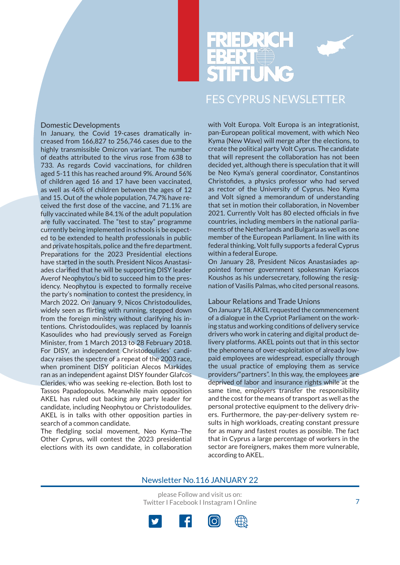

#### Domestic Developments

In January, the Covid 19-cases dramatically increased from 166,827 to 256,746 cases due to the highly transmissible Omicron variant. The number of deaths attributed to the virus rose from 638 to 733. As regards Covid vaccinations, for children aged 5-11 this has reached around 9%. Around 56% of children aged 16 and 17 have been vaccinated, as well as 46% of children between the ages of 12 and 15. Out of the whole population, 74.7% have received the first dose of the vaccine, and 71.1% are fully vaccinated while 84.1% of the adult population are fully vaccinated. The "test to stay" programme currently being implemented in schools is be expected to be extended to health professionals in public and private hospitals, police and the fire department. Preparations for the 2023 Presidential elections have started in the south. President Nicos Anastasiades clarified that he will be supporting DISY leader Averof Neophytou's bid to succeed him to the presidency. Neophytou is expected to formally receive the party's nomination to contest the presidency, in March 2022. On January 9, Nicos Christodoulides, widely seen as flirting with running, stepped down from the foreign ministry without clarifying his intentions. Christodoulides, was replaced by Ioannis Kasoulides who had previously served as Foreign Minister, from 1 March 2013 to 28 February 2018. For DISY, an independent Christodoulides' candidacy raises the spectre of a repeat of the 2003 race, when prominent DISY politician Alecos Markides ran as an independent against DISY founder Glafcos Clerides, who was seeking re-election. Both lost to Tassos Papadopoulos. Meanwhile main opposition AKEL has ruled out backing any party leader for candidate, including Neophytou or Christodoulides. AKEL is in talks with other opposition parties in search of a common candidate.

The fledgling social movement, Neo Kyma–The Other Cyprus, will contest the 2023 presidential elections with its own candidate, in collaboration

with Volt Europa. Volt Europa is an integrationist, pan-European political movement, with which Neo Kyma (New Wave) will merge after the elections, to create the political party Volt Cyprus. The candidate that will represent the collaboration has not been decided yet, although there is speculation that it will be Neo Kyma's general coordinator, Constantinos Christofides, a physics professor who had served as rector of the University of Cyprus. Neo Kyma and Volt signed a memorandum of understanding that set in motion their collaboration, in November 2021. Currently Volt has 80 elected officials in five countries, including members in the national parliaments of the Netherlands and Bulgaria as well as one member of the European Parliament. In line with its federal thinking, Volt fully supports a federal Cyprus within a federal Europe.

On January 28, President Nicos Anastasiades appointed former government spokesman Kyriacos Koushos as his undersecretary, following the resignation of Vasilis Palmas, who cited personal reasons.

#### Labour Relations and Trade Unions

On January 18, AKEL requested the commencement of a dialogue in the Cypriot Parliament on the working status and working conditions of delivery service drivers who work in catering and digital product delivery platforms. AKEL points out that in this sector the phenomena of over-exploitation of already lowpaid employees are widespread, especially through the usual practice of employing them as service providers/"partners". In this way, the employees are deprived of labor and insurance rights while at the same time, employers transfer the responsibility and the cost for the means of transport as well as the personal protective equipment to the delivery drivers. Furthermore, the pay-per-delivery system results in high workloads, creating constant pressure for as many and fastest routes as possible. The fact that in Cyprus a large percentage of workers in the sector are foreigners, makes them more vulnerable, according to AKEL.

#### Newsletter No.116 JANUARY 22

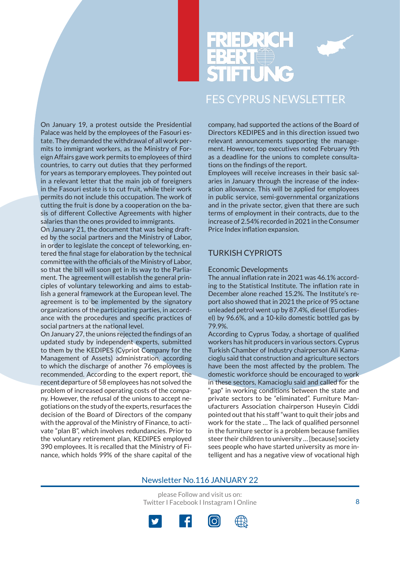

On January 19, a protest outside the Presidential Palace was held by the employees of the Fasouri estate. They demanded the withdrawal of all work permits to immigrant workers, as the Ministry of Foreign Affairs gave work permits to employees of third countries, to carry out duties that they performed for years as temporary employees. They pointed out in a relevant letter that the main job of foreigners in the Fasouri estate is to cut fruit, while their work permits do not include this occupation. The work of cutting the fruit is done by a cooperation on the basis of different Collective Agreements with higher salaries than the ones provided to immigrants.

On January 21, the document that was being drafted by the social partners and the Ministry of Labor, in order to legislate the concept of teleworking, entered the final stage for elaboration by the technical committee with the officials of the Ministry of Labor, so that the bill will soon get in its way to the Parliament. The agreement will establish the general principles of voluntary teleworking and aims to establish a general framework at the European level. The agreement is to be implemented by the signatory organizations of the participating parties, in accordance with the procedures and specific practices of social partners at the national level.

On January 27, the unions rejected the findings of an updated study by independent experts, submitted to them by the KEDIPES (Cypriot Company for the Management of Assets) administration, according to which the discharge of another 76 employees is recommended. According to the expert report, the recent departure of 58 employees has not solved the problem of increased operating costs of the company. However, the refusal of the unions to accept negotiations on the study of the experts, resurfaces the decision of the Board of Directors of the company with the approval of the Ministry of Finance, to activate "plan B", which involves redundancies. Prior to the voluntary retirement plan, KEDIPES employed 390 employees. It is recalled that the Ministry of Finance, which holds 99% of the share capital of the

company, had supported the actions of the Board of Directors KEDIPES and in this direction issued two relevant announcements supporting the management. However, top executives noted February 9th as a deadline for the unions to complete consultations on the findings of the report.

Employees will receive increases in their basic salaries in January through the increase of the indexation allowance. This will be applied for employees in public service, semi-governmental organizations and in the private sector, given that there are such terms of employment in their contracts, due to the increase of 2.54% recorded in 2021 in the Consumer Price Index inflation expansion.

### TURKISH CYPRIOTS

#### Economic Developments

The annual inflation rate in 2021 was 46.1% according to the Statistical Institute. The inflation rate in December alone reached 15.2%. The Institute's report also showed that in 2021 the price of 95 octane unleaded petrol went up by 87.4%, diesel (Eurodiesel) by 96.6%, and a 10-kilo domestic bottled gas by 79.9%.

According to Cyprus Today, a shortage of qualified workers has hit producers in various sectors. Cyprus Turkish Chamber of Industry chairperson Ali Kamacioglu said that construction and agriculture sectors have been the most affected by the problem. The domestic workforce should be encouraged to work in these sectors, Kamacioglu said and called for the "gap" in working conditions between the state and private sectors to be "eliminated". Furniture Manufacturers Association chairperson Huseyin Ciddi pointed out that his staff "want to quit their jobs and work for the state … The lack of qualified personnel in the furniture sector is a problem because families steer their children to university … [because] society sees people who have started university as more intelligent and has a negative view of vocational high

#### Newsletter No.116 JANUARY 22



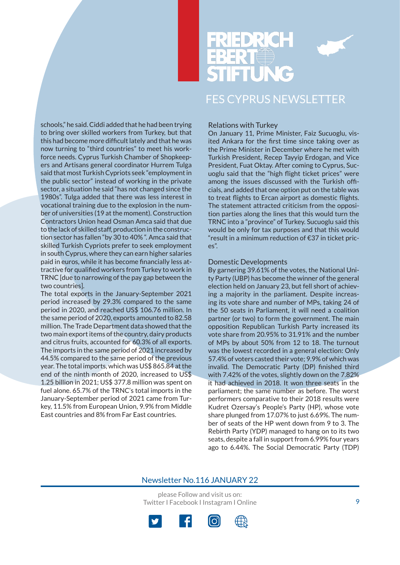



schools," he said. Ciddi added that he had been trying to bring over skilled workers from Turkey, but that this had become more difficult lately and that he was now turning to "third countries" to meet his workforce needs. Cyprus Turkish Chamber of Shopkeepers and Artisans general coordinator Hurrem Tulga said that most Turkish Cypriots seek "employment in the public sector" instead of working in the private sector, a situation he said "has not changed since the 1980s". Tulga added that there was less interest in vocational training due to the explosion in the number of universities (19 at the moment). Construction Contractors Union head Osman Amca said that due to the lack of skilled staff, production in the construction sector has fallen "by 30 to 40% ". Amca said that skilled Turkish Cypriots prefer to seek employment in south Cyprus, where they can earn higher salaries paid in euros, while it has become financially less attractive for qualified workers from Turkey to work in TRNC [due to narrowing of the pay gap between the two countries].

The total exports in the January-September 2021 period increased by 29.3% compared to the same period in 2020, and reached US\$ 106.76 million. In the same period of 2020, exports amounted to 82.58 million. The Trade Department data showed that the two main export items of the country, dairy products and citrus fruits, accounted for 60.3% of all exports. The imports in the same period of 2021 increased by 44.5% compared to the same period of the previous year. The total imports, which was US\$ 865.84 at the end of the ninth month of 2020, increased to US\$ 1.25 billion in 2021; US\$ 377.8 million was spent on fuel alone. 65.7% of the TRNC's total imports in the January-September period of 2021 came from Turkey, 11.5% from European Union, 9.9% from Middle East countries and 8% from Far East countries.

#### Relations with Turkey

On January 11, Prime Minister, Faiz Sucuoglu, visited Ankara for the first time since taking over as the Prime Minister in December where he met with Turkish President, Recep Tayyip Erdogan, and Vice President, Fuat Oktay. After coming to Cyprus, Sucuoglu said that the "high flight ticket prices" were among the issues discussed with the Turkish officials, and added that one option put on the table was to treat flights to Ercan airport as domestic flights. The statement attracted criticism from the opposition parties along the lines that this would turn the TRNC into a "province" of Turkey. Sucuoglu said this would be only for tax purposes and that this would "result in a minimum reduction of €37 in ticket prices".

#### Domestic Developments

By garnering 39.61% of the votes, the National Unity Party (UBP) has become the winner of the general election held on January 23, but fell short of achieving a majority in the parliament. Despite increasing its vote share and number of MPs, taking 24 of the 50 seats in Parliament, it will need a coalition partner (or two) to form the government. The main opposition Republican Turkish Party increased its vote share from 20.95% to 31.91% and the number of MPs by about 50% from 12 to 18. The turnout was the lowest recorded in a general election: Only 57.4% of voters casted their vote; 9.9% of which was invalid. The Democratic Party (DP) finished third with 7.42% of the votes, slightly down on the 7.82% it had achieved in 2018. It won three seats in the parliament; the same number as before. The worst performers comparative to their 2018 results were Kudret Ozersay's People's Party (HP), whose vote share plunged from 17.07% to just 6.69%. The number of seats of the HP went down from 9 to 3. The Rebirth Party (YDP) managed to hang on to its two seats, despite a fall in support from 6.99% four years ago to 6.44%. The Social Democratic Party (TDP)

#### Newsletter No.116 JANUARY 22

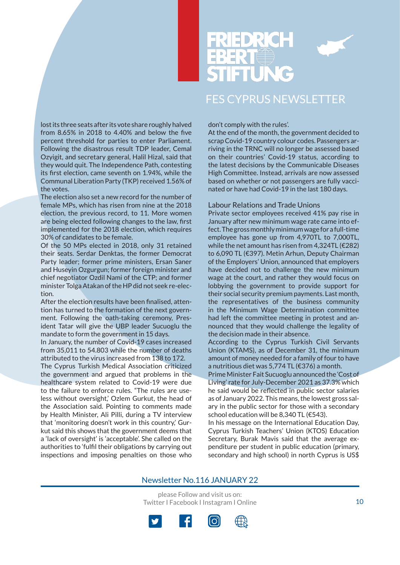

lost its three seats after its vote share roughly halved from 8.65% in 2018 to 4.40% and below the five percent threshold for parties to enter Parliament. Following the disastrous result TDP leader, Cemal Ozyigit, and secretary general, Halil Hizal, said that they would quit. The Independence Path, contesting its first election, came seventh on 1.94%, while the Communal Liberation Party (TKP) received 1.56% of the votes.

The election also set a new record for the number of female MPs, which has risen from nine at the 2018 election, the previous record, to 11. More women are being elected following changes to the law, first implemented for the 2018 election, which requires 30% of candidates to be female.

Of the 50 MPs elected in 2018, only 31 retained their seats. Serdar Denktas, the former Democrat Party leader; former prime ministers, Ersan Saner and Huseyin Ozgurgun; former foreign minister and chief negotiator Ozdil Nami of the CTP; and former minister Tolga Atakan of the HP did not seek re-election.

After the election results have been finalised, attention has turned to the formation of the next government. Following the oath-taking ceremony, President Tatar will give the UBP leader Sucuoglu the mandate to form the government in 15 days.

In January, the number of Covid-19 cases increased from 35,011 to 54.803 while the number of deaths attributed to the virus increased from 138 to 172.

The Cyprus Turkish Medical Association criticized the government and argued that problems in the healthcare system related to Covid-19 were due to the failure to enforce rules. "The rules are useless without oversight,' Ozlem Gurkut, the head of the Association said. Pointing to comments made by Health Minister, Ali Pilli, during a TV interview that 'monitoring doesn't work in this country,' Gurkut said this shows that the government deems that a 'lack of oversight' is 'acceptable'. She called on the authorities to 'fulfil their obligations by carrying out inspections and imposing penalties on those who don't comply with the rules'.

At the end of the month, the government decided to scrap Covid-19 country colour codes. Passengers arriving in the TRNC will no longer be assessed based on their countries' Covid-19 status, according to the latest decisions by the Communicable Diseases High Committee. Instead, arrivals are now assessed based on whether or not passengers are fully vaccinated or have had Covid-19 in the last 180 days.

Labour Relations and Trade Unions

Private sector employees received 41% pay rise in January after new minimum wage rate came into effect. The gross monthly minimum wage for a full-time employee has gone up from 4,970TL to 7,000TL, while the net amount has risen from 4,324TL (€282) to 6,090 TL (€397). Metin Arhun, Deputy Chairman of the Employers' Union, announced that employers have decided not to challenge the new minimum wage at the court, and rather they would focus on lobbying the government to provide support for their social security premium payments. Last month, the representatives of the business community in the Minimum Wage Determination committee had left the committee meeting in protest and announced that they would challenge the legality of the decision made in their absence.

According to the Cyprus Turkish Civil Servants Union (KTAMS), as of December 31, the minimum amount of money needed for a family of four to have a nutritious diet was 5,774 TL (€376) a month.

Prime Minister Fait Sucuoglu announced the 'Cost of Living' rate for July-December 2021 as 37.3% which he said would be reflected in public sector salaries as of January 2022. This means, the lowest gross salary in the public sector for those with a secondary school education will be 8,340 TL (€543).

In his message on the International Education Day, Cyprus Turkish Teachers' Union (KTOS) Education Secretary, Burak Mavis said that the average expenditure per student in public education (primary, secondary and high school) in north Cyprus is US\$

#### Newsletter No.116 JANUARY 22

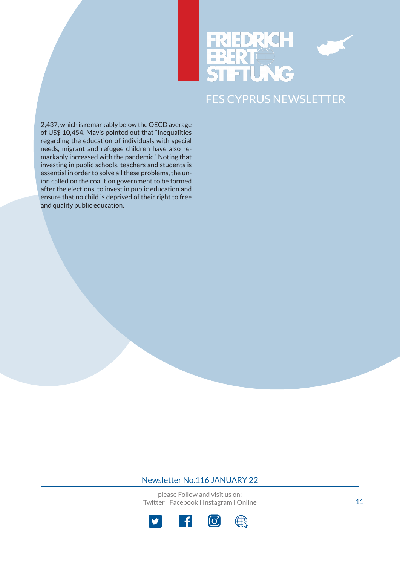# DR E



## FES CYPRUS NEWSLETTER

2,437, which is remarkably below the OECD average of US\$ 10,454. Mavis pointed out that "inequalities regarding the education of individuals with special needs, migrant and refugee children have also remarkably increased with the pandemic." Noting that investing in public schools, teachers and students is essential in order to solve all these problems, the union called on the coalition government to be formed after the elections, to invest in public education and ensure that no child is deprived of their right to free and quality public education.

#### Newsletter No.116 JANUARY 22